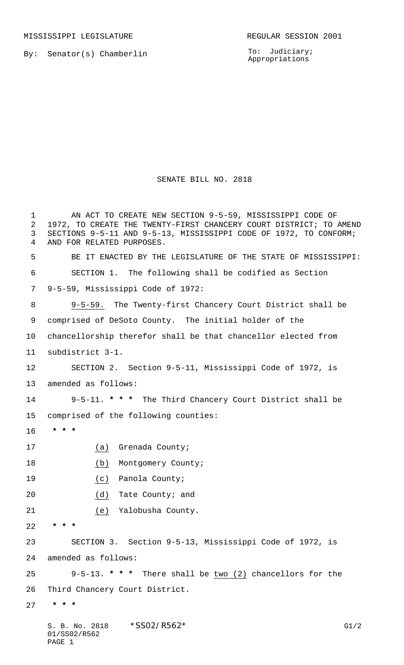MISSISSIPPI LEGISLATURE **REGULAR SESSION 2001** 

PAGE 1

By: Senator(s) Chamberlin

To: Judiciary; Appropriations

## SENATE BILL NO. 2818

S. B. No. 2818 \* SS02/R562\* G1/2 01/SS02/R562 AN ACT TO CREATE NEW SECTION 9-5-59, MISSISSIPPI CODE OF 1972, TO CREATE THE TWENTY-FIRST CHANCERY COURT DISTRICT; TO AMEND SECTIONS 9-5-11 AND 9-5-13, MISSISSIPPI CODE OF 1972, TO CONFORM; AND FOR RELATED PURPOSES. BE IT ENACTED BY THE LEGISLATURE OF THE STATE OF MISSISSIPPI: SECTION 1. The following shall be codified as Section 9-5-59, Mississippi Code of 1972: 9-5-59. The Twenty-first Chancery Court District shall be comprised of DeSoto County. The initial holder of the chancellorship therefor shall be that chancellor elected from subdistrict 3-1. SECTION 2. Section 9-5-11, Mississippi Code of 1972, is amended as follows: 9-5-11. **\* \* \*** The Third Chancery Court District shall be comprised of the following counties:  **\* \* \*** (a) Grenada County; 18 (b) Montgomery County; (c) Panola County; (d) Tate County; and (e) Yalobusha County.  **\* \* \*** SECTION 3. Section 9-5-13, Mississippi Code of 1972, is amended as follows: 9-5-13. **\* \* \*** There shall be two (2) chancellors for the Third Chancery Court District.  **\* \* \***